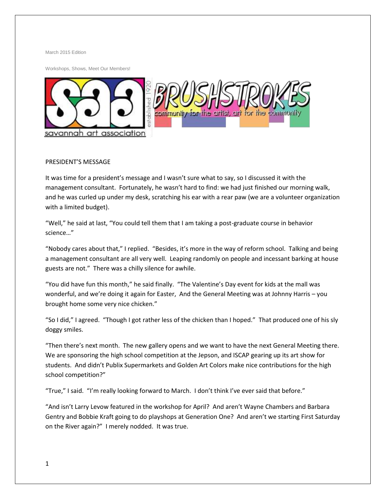March 2015 Edition

Workshops, Shows, Meet Our Members!



### PRESIDENT'S MESSAGE

It was time for a president's message and I wasn't sure what to say, so I discussed it with the management consultant. Fortunately, he wasn't hard to find: we had just finished our morning walk, and he was curled up under my desk, scratching his ear with a rear paw (we are a volunteer organization with a limited budget).

"Well," he said at last, "You could tell them that I am taking a post-graduate course in behavior science…"

"Nobody cares about that," I replied. "Besides, it's more in the way of reform school. Talking and being a management consultant are all very well. Leaping randomly on people and incessant barking at house guests are not." There was a chilly silence for awhile.

"You did have fun this month," he said finally. "The Valentine's Day event for kids at the mall was wonderful, and we're doing it again for Easter, And the General Meeting was at Johnny Harris – you brought home some very nice chicken."

"So I did," I agreed. "Though I got rather less of the chicken than I hoped." That produced one of his sly doggy smiles.

"Then there's next month. The new gallery opens and we want to have the next General Meeting there. We are sponsoring the high school competition at the Jepson, and ISCAP gearing up its art show for students. And didn't Publix Supermarkets and Golden Art Colors make nice contributions for the high school competition?"

"True," I said. "I'm really looking forward to March. I don't think I've ever said that before."

"And isn't Larry Levow featured in the workshop for April? And aren't Wayne Chambers and Barbara Gentry and Bobbie Kraft going to do playshops at Generation One? And aren't we starting First Saturday on the River again?" I merely nodded. It was true.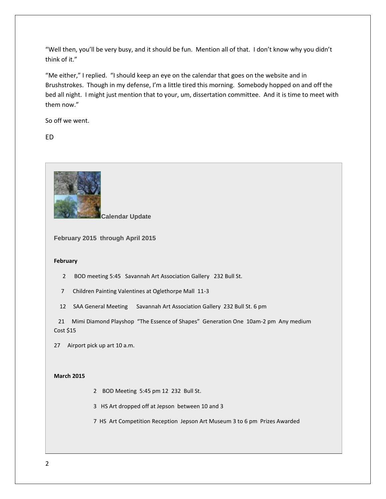"Well then, you'll be very busy, and it should be fun. Mention all of that. I don't know why you didn't think of it."

"Me either," I replied. "I should keep an eye on the calendar that goes on the website and in Brushstrokes. Though in my defense, I'm a little tired this morning. Somebody hopped on and off the bed all night. I might just mention that to your, um, dissertation committee. And it is time to meet with them now."

So off we went.

ED



**Calendar Update**

**February 2015 through April 2015**

#### **February**

2 BOD meeting 5:45 Savannah Art Association Gallery 232 Bull St.

7 Children Painting Valentines at Oglethorpe Mall 11-3

12 SAA General Meeting Savannah Art Association Gallery 232 Bull St. 6 pm

 21 Mimi Diamond Playshop "The Essence of Shapes" Generation One 10am-2 pm Any medium Cost \$15

27 Airport pick up art 10 a.m.

### **March 2015**

2 BOD Meeting 5:45 pm 12 232 Bull St.

3 HS Art dropped off at Jepson between 10 and 3

7 HS Art Competition Reception Jepson Art Museum 3 to 6 pm Prizes Awarded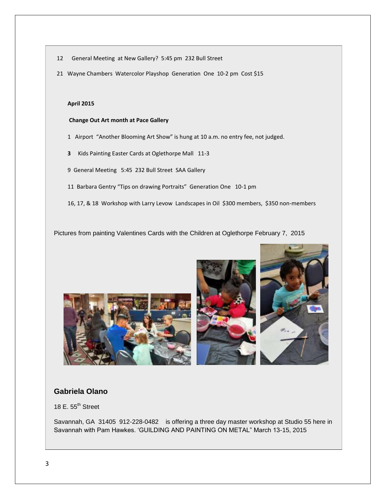- 12 General Meeting at New Gallery? 5:45 pm 232 Bull Street
- 21 Wayne Chambers Watercolor Playshop Generation One 10-2 pm Cost \$15

### **April 2015**

#### **Change Out Art month at Pace Gallery**

- 1 Airport "Another Blooming Art Show" is hung at 10 a.m. no entry fee, not judged.
- **3** Kids Painting Easter Cards at Oglethorpe Mall 11-3
- 9 General Meeting 5:45 232 Bull Street SAA Gallery
- 11 Barbara Gentry "Tips on drawing Portraits" Generation One 10-1 pm
- 16, 17, & 18 Workshop with Larry Levow Landscapes in Oil \$300 members, \$350 non-members

Pictures from painting Valentines Cards with the Children at Oglethorpe February 7, 2015





# **Gabriela Olano**

18 E.  $55^{\text{th}}$  Street

Savannah, GA 31405 912-228-0482 is offering a three day master workshop at Studio 55 here in Savannah with Pam Hawkes. 'GUILDING AND PAINTING ON METAL" March 13-15, 2015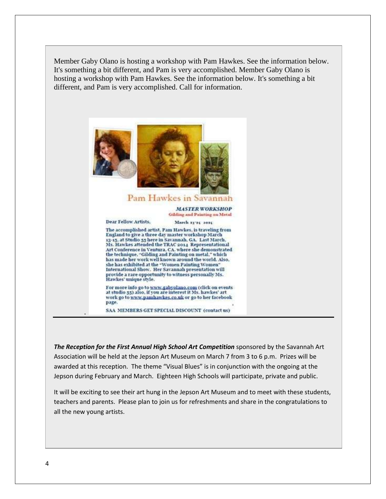Member Gaby Olano is hosting a workshop with Pam Hawkes. See the information below. It's something a bit different, and Pam is very accomplished. Member Gaby Olano is hosting a workshop with Pam Hawkes. See the information below. It's something a bit different, and Pam is very accomplished. Call for information.



*The Reception for the First Annual High School Art Competition* sponsored by the Savannah Art Association will be held at the Jepson Art Museum on March 7 from 3 to 6 p.m. Prizes will be awarded at this reception. The theme "Visual Blues" is in conjunction with the ongoing at the Jepson during February and March. Eighteen High Schools will participate, private and public.

It will be exciting to see their art hung in the Jepson Art Museum and to meet with these students, teachers and parents. Please plan to join us for refreshments and share in the congratulations to all the new young artists[.](https://www.facebook.com/SavannahArtAssociation/photos/a.301487489976474.1073741825.177369259054965/410977459027476/?type=1)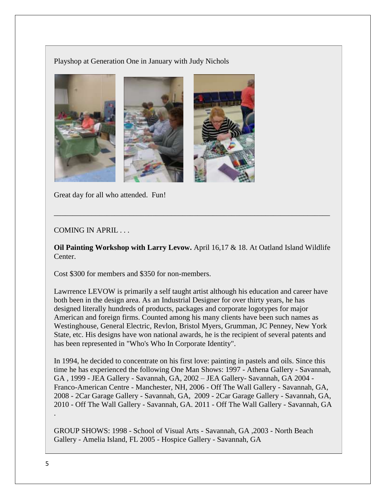Playshop at Generation One in January with Judy Nichols



Great day for all who attended. Fun!

# COMING IN APRIL ...

**Oil Painting Workshop with Larry Levow.** April 16,17 & 18. At Oatland Island Wildlife Center.

\_\_\_\_\_\_\_\_\_\_\_\_\_\_\_\_\_\_\_\_\_\_\_\_\_\_\_\_\_\_\_\_\_\_\_\_\_\_\_\_\_\_\_\_\_\_\_\_\_\_\_\_\_\_\_\_\_\_\_\_\_\_\_\_\_\_\_\_\_\_\_\_\_

Cost \$300 for members and \$350 for non-members.

Lawrrence LEVOW is primarily a self taught artist although his education and career have both been in the design area. As an Industrial Designer for over thirty years, he has designed literally hundreds of products, packages and corporate logotypes for major American and foreign firms. Counted among his many clients have been such names as Westinghouse, General Electric, Revlon, Bristol Myers, Grumman, JC Penney, New York State, etc. His designs have won national awards, he is the recipient of several patents and has been represented in "Who's Who In Corporate Identity".

In 1994, he decided to concentrate on his first love: painting in pastels and oils. Since this time he has experienced the following One Man Shows: 1997 - Athena Gallery - Savannah, GA , 1999 - JEA Gallery - Savannah, GA, 2002 – JEA Gallery- Savannah, GA 2004 - Franco-American Centre - Manchester, NH, 2006 - Off The Wall Gallery - Savannah, GA, 2008 - 2Car Garage Gallery - Savannah, GA, 2009 - 2Car Garage Gallery - Savannah, GA, 2010 - Off The Wall Gallery - Savannah, GA. 2011 - Off The Wall Gallery - Savannah, GA

GROUP SHOWS: 1998 - School of Visual Arts - Savannah, GA ,2003 - North Beach Gallery - Amelia Island, FL 2005 - Hospice Gallery - Savannah, GA

.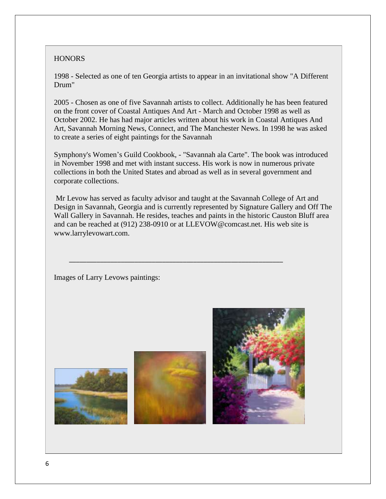## **HONORS**

1998 - Selected as one of ten Georgia artists to appear in an invitational show "A Different Drum"

2005 - Chosen as one of five Savannah artists to collect. Additionally he has been featured on the front cover of Coastal Antiques And Art - March and October 1998 as well as October 2002. He has had major articles written about his work in Coastal Antiques And Art, Savannah Morning News, Connect, and The Manchester News. In 1998 he was asked to create a series of eight paintings for the Savannah

Symphony's Women's Guild Cookbook, - "Savannah ala Carte". The book was introduced in November 1998 and met with instant success. His work is now in numerous private collections in both the United States and abroad as well as in several government and corporate collections.

Mr Levow has served as faculty advisor and taught at the Savannah College of Art and Design in Savannah, Georgia and is currently represented by Signature Gallery and Off The Wall Gallery in Savannah. He resides, teaches and paints in the historic Causton Bluff area and can be reached at (912) 238-0910 or at LLEVOW@comcast.net. His web site is www.larrylevowart.com.

\_\_\_\_\_\_\_\_\_\_\_\_\_\_\_\_\_\_\_\_\_\_\_\_\_\_\_\_\_\_\_\_\_\_\_\_\_\_\_\_\_\_\_\_\_\_\_\_\_\_\_\_\_\_\_\_\_\_\_\_\_\_

Images of Larry Levows paintings:





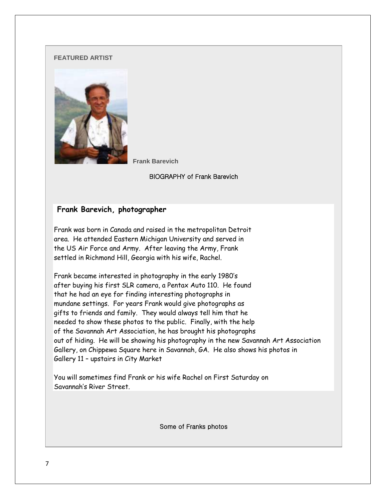### **FEATURED ARTIST**



 **Frank Barevich** 

BIOGRAPHY of Frank Barevich

# **Frank Barevich, photographer**

Frank was born in Canada and raised in the metropolitan Detroit area. He attended Eastern Michigan University and served in the US Air Force and Army. After leaving the Army, Frank settled in Richmond Hill, Georgia with his wife, Rachel.

Frank became interested in photography in the early 1980's after buying his first SLR camera, a Pentax Auto 110. He found that he had an eye for finding interesting photographs in mundane settings. For years Frank would give photographs as gifts to friends and family. They would always tell him that he needed to show these photos to the public. Finally, with the help of the Savannah Art Association, he has brought his photographs out of hiding. He will be showing his photography in the new Savannah Art Association Gallery, on Chippewa Square here in Savannah, GA. He also shows his photos in Gallery 11 – upstairs in City Market

You will sometimes find Frank or his wife Rachel on First Saturday on Savannah's River Street.

Some of Franks photos